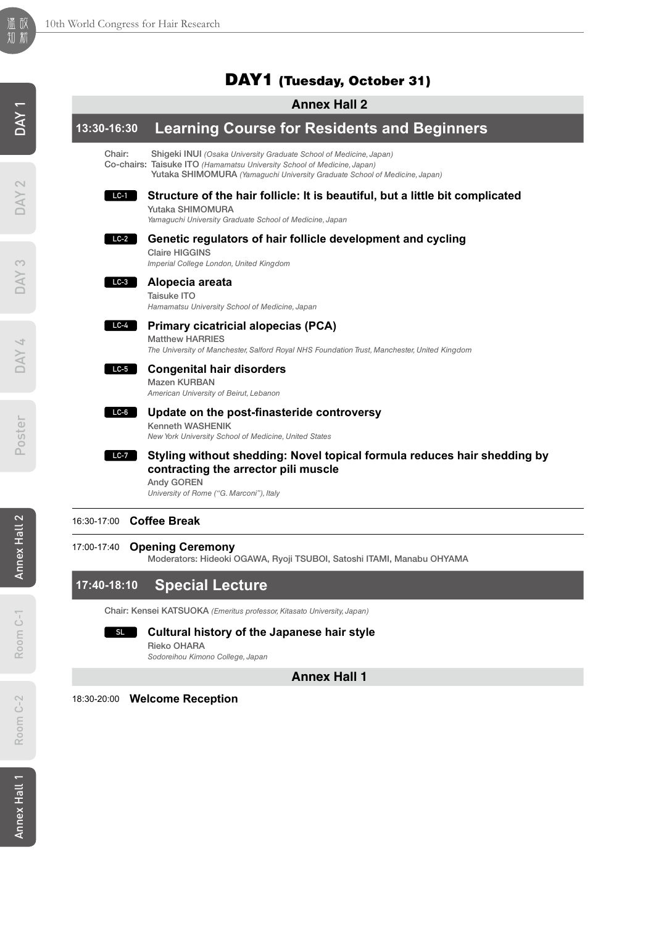# DAY1 (Tuesday, October 31)

# **Annex Hall 2**

### **13:30-16:30 Learning Course for Residents and Beginners** Chair: Shigeki INUI *(Osaka University Graduate School of Medicine, Japan)* Co-chairs: Taisuke ITO *(Hamamatsu University School of Medicine, Japan)* Yutaka SHIMOMURA *(Yamaguchi University Graduate School of Medicine, Japan)* **Structure of the hair follicle: It is beautiful, but a little bit complicated** Yutaka SHIMOMURA *Yamaguchi University Graduate School of Medicine, Japan* **Genetic regulators of hair follicle development and cycling** Claire HIGGINS *Imperial College London, United Kingdom* **Alopecia areata**  Taisuke ITO *Hamamatsu University School of Medicine, Japan* **Primary cicatricial alopecias (PCA)** Matthew HARRIES *The University of Manchester, Salford Royal NHS Foundation Trust, Manchester, United Kingdom* **Congenital hair disorders** Mazen KURBAN *American University of Beirut, Lebanon* **Update on the post-finasteride controversy** Kenneth WASHENIK *New York University School of Medicine, United States* **Styling without shedding: Novel topical formula reduces hair shedding by contracting the arrector pili muscle** Andy GOREN *University of Rome ("G. Marconi"), Italy* **LC-1 LC-2 LC-3 LC-4 LC-5 LC-6 LC-7**

# 16:30-17:00 **Coffee Break**

# 17:00-17:40 **Opening Ceremony**

Moderators: Hideoki OGAWA, Ryoji TSUBOI, Satoshi ITAMI, Manabu OHYAMA

# **17:40-18:10 Special Lecture**

Chair: Kensei KATSUOKA *(Emeritus professor, Kitasato University, Japan)*

### **Cultural history of the Japanese hair style SL**

Rieko OHARA *Sodoreihou Kimono College, Japan*

**Annex Hall 1**

18:30-20:00 **Welcome Reception**

Room C-1

Room C-1

Room C-2

Room C-2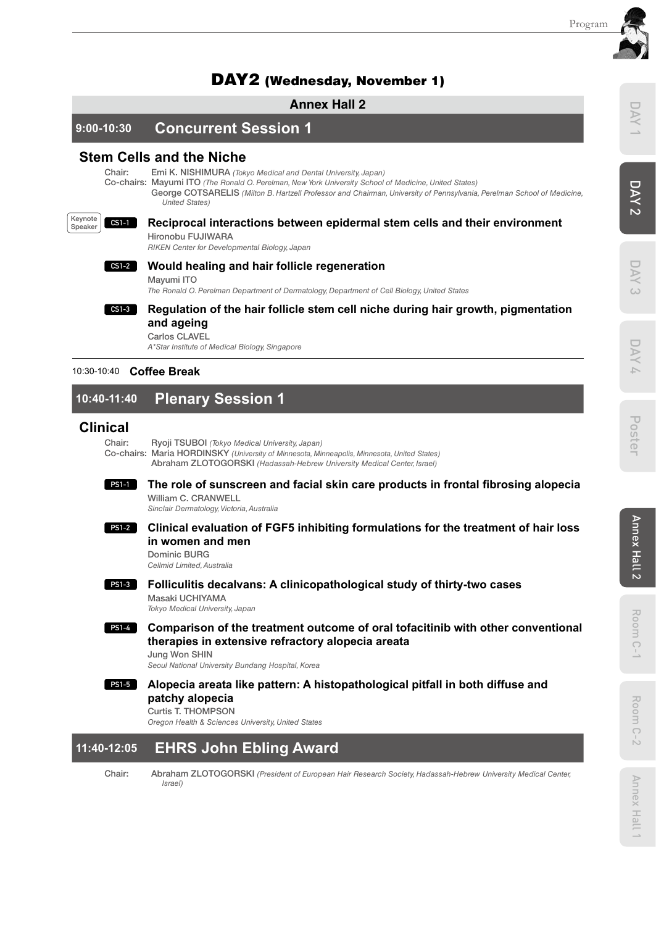# DAY2 (Wednesday, November 1)

# **Annex Hall 2**

**9:00-10:30 Concurrent Session 1**

# **Stem Cells and the Niche**

Chair: Emi K. NISHIMURA *(Tokyo Medical and Dental University, Japan)*

Co-chairs: Mayumi ITO *(The Ronald O. Perelman, New York University School of Medicine, United States)*

George COTSARELIS *(Milton B. Hartzell Professor and Chairman, University of Pennsylvania, Perelman School of Medicine, United States)*



### **Reciprocal interactions between epidermal stem cells and their environment**  Hironobu FUJIWARA

*RIKEN Center for Developmental Biology, Japan*

### **Would healing and hair follicle regeneration CS1-2**

Mayumi ITO

*The Ronald O. Perelman Department of Dermatology, Department of Cell Biology, United States*



# **Regulation of the hair follicle stem cell niche during hair growth, pigmentation and ageing**

Carlos CLAVEL *A\*Star Institute of Medical Biology, Singapore*

# 10:30-10:40 **Coffee Break**

# **10:40-11:40 Plenary Session 1**

# **Clinical**

Chair: Ryoji TSUBOI *(Tokyo Medical University, Japan)* Co-chairs: Maria HORDINSKY *(University of Minnesota, Minneapolis, Minnesota, United States)* Abraham ZLOTOGORSKI *(Hadassah-Hebrew University Medical Center, Israel)*

### **The role of sunscreen and facial skin care products in frontal fibrosing alopecia** William C. CRANWELL **PS1-1**

*Sinclair Dermatology, Victoria, Australia*

### **Clinical evaluation of FGF5 inhibiting formulations for the treatment of hair loss in women and men PS1-2**

Dominic BURG *Cellmid Limited, Australia*

### **Folliculitis decalvans: A clinicopathological study of thirty-two cases**  Masaki UCHIYAMA **PS1-3**

*Tokyo Medical University, Japan*

**Comparison of the treatment outcome of oral tofacitinib with other conventional therapies in extensive refractory alopecia areata**  Jung Won SHIN **PS1-4**

*Seoul National University Bundang Hospital, Korea*

### **Alopecia areata like pattern: A histopathological pitfall in both diffuse and patchy alopecia PS1-5**

Curtis T. THOMPSON

*Oregon Health & Sciences University, United States*

# **11:40-12:05 EHRS John Ebling Award**

Chair: Abraham ZLOTOGORSKI *(President of European Hair Research Society, Hadassah-Hebrew University Medical Center, Israel)*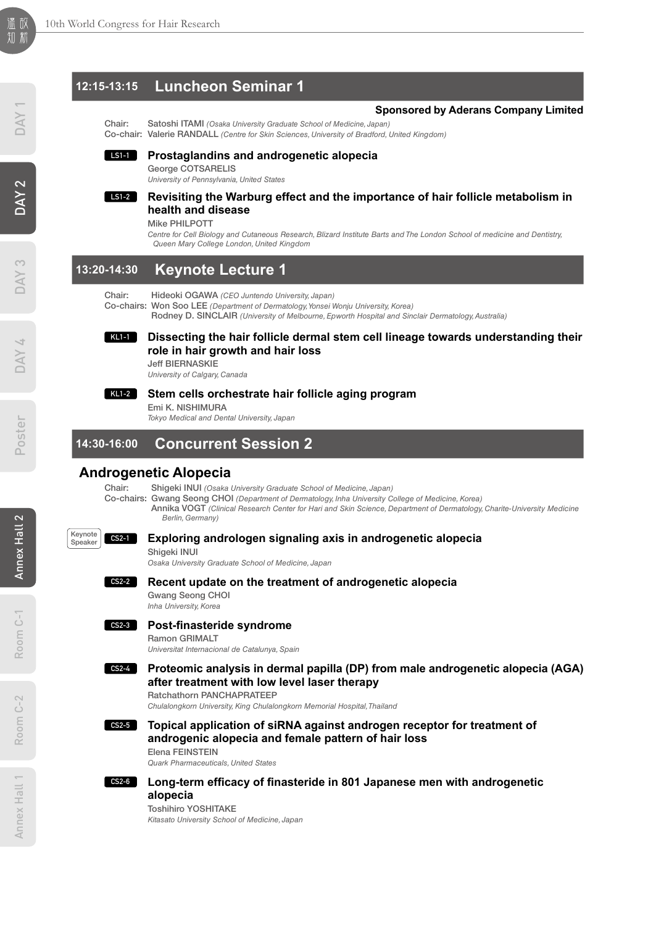# **12:15-13:15 Luncheon Seminar 1**

### **Sponsored by Aderans Company Limited**

Chair: Satoshi ITAMI *(Osaka University Graduate School of Medicine, Japan)* Co-chair: Valerie RANDALL *(Centre for Skin Sciences, University of Bradford, United Kingdom)*

### **Prostaglandins and androgenetic alopecia LS1-1**

George COTSARELIS *University of Pennsylvania, United States*

### **Revisiting the Warburg effect and the importance of hair follicle metabolism in health and disease LS1-2**

Mike PHILPOTT

*Centre for Cell Biology and Cutaneous Research, Blizard Institute Barts and The London School of medicine and Dentistry, Queen Mary College London, United Kingdom*

# **13:20-14:30 Keynote Lecture 1**

Chair: Hideoki OGAWA *(CEO Juntendo University, Japan)*

Co-chairs: Won Soo LEE *(Department of Dermatology, Yonsei Wonju University, Korea)*

Rodney D. SINCLAIR *(University of Melbourne, Epworth Hospital and Sinclair Dermatology, Australia)*

### **Dissecting the hair follicle dermal stem cell lineage towards understanding their role in hair growth and hair loss KL1-1**

Jeff BIERNASKIE *University of Calgary, Canada*

**KL1-2**

### **Stem cells orchestrate hair follicle aging program** Emi K. NISHIMURA

*Tokyo Medical and Dental University, Japan*

# **14:30-16:00 Concurrent Session 2**

# **Androgenetic Alopecia**

Chair: Shigeki INUI *(Osaka University Graduate School of Medicine, Japan)*

- Co-chairs: Gwang Seong CHOI *(Department of Dermatology, Inha University College of Medicine, Korea)*
	- Annika VOGT *(Clinical Research Center for Hari and Skin Science, Department of Dermatology, Charite-University Medicine Berlin, Germany)*



# **Exploring andrologen signaling axis in androgenetic alopecia**

Shigeki INUI *Osaka University Graduate School of Medicine, Japan*

**CS2-2**

**Recent update on the treatment of androgenetic alopecia**  Gwang Seong CHOI

*Inha University, Korea*

**CS2-3**

# **Post-finasteride syndrome**

Ramon GRIMALT

*Universitat Internacional de Catalunya, Spain*

### **Proteomic analysis in dermal papilla (DP) from male androgenetic alopecia (AGA) after treatment with low level laser therapy**  Ratchathorn PANCHAPRATEEP **CS2-4**

*Chulalongkorn University, King Chulalongkorn Memorial Hospital, Thailand*

- **Topical application of siRNA against androgen receptor for treatment of androgenic alopecia and female pattern of hair loss CS2-5**
	- Elena FEINSTEIN

*Quark Pharmaceuticals, United States*



**Long-term efficacy of finasteride in 801 Japanese men with androgenetic alopecia** 

Toshihiro YOSHITAKE *Kitasato University School of Medicine, Japan*

Room C-2

 $C - 2$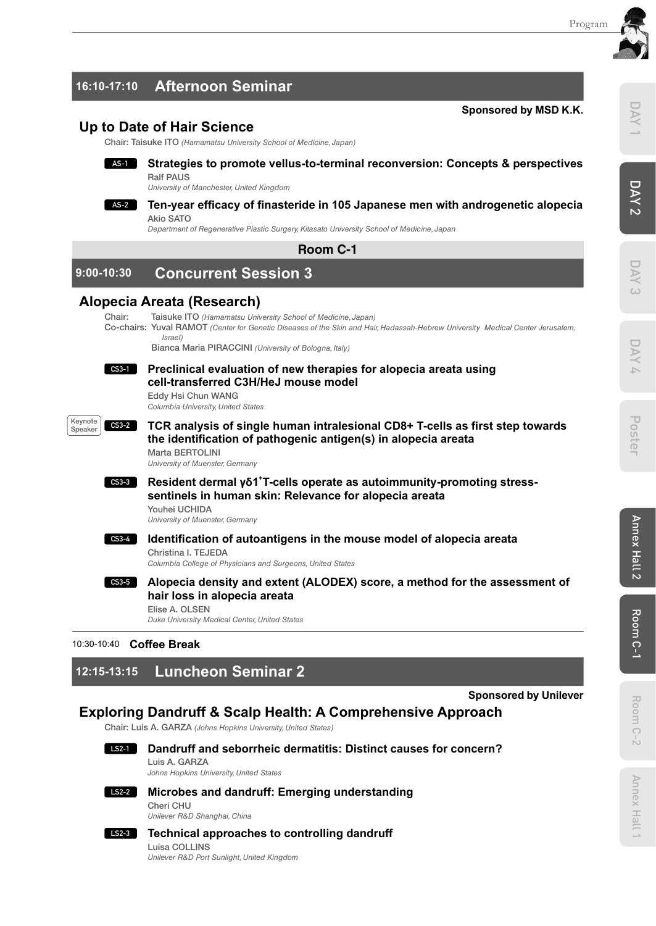

# **16:10-17:10 Afternoon Seminar**

# **Up to Date of Hair Science**

Chair: Taisuke ITO *(Hamamatsu University School of Medicine, Japan)*



# **Strategies to promote vellus-to-terminal reconversion: Concepts & perspectives** Ralf PAUS

*University of Manchester, United Kingdom*

### **Ten-year efficacy of finasteride in 105 Japanese men with androgenetic alopecia AS-2** Akio SATO

*Department of Regenerative Plastic Surgery, Kitasato University School of Medicine, Japan*

**Room C-1**

# **9:00-10:30 Concurrent Session 3**

# **Alopecia Areata (Research)**

Chair: Taisuke ITO *(Hamamatsu University School of Medicine, Japan)* Co-chairs: Yuval RAMOT *(Center for Genetic Diseases of the Skin and Hair, Hadassah-Hebrew University Medical Center Jerusalem, Israel)*

Bianca Maria PIRACCINI *(University of Bologna, Italy)*

### **Preclinical evaluation of new therapies for alopecia areata using cell-transferred C3H/HeJ mouse model CS3-1**

Eddy Hsi Chun WANG *Columbia University, United States*



**TCR analysis of single human intralesional CD8+ T-cells as first step towards the identification of pathogenic antigen(s) in alopecia areata** Marta BERTOLINI

*University of Muenster, Germany*



**Resident dermal γδ1<sup>+</sup> T-cells operate as autoimmunity-promoting stresssentinels in human skin: Relevance for alopecia areata**  Youhei UCHIDA

*University of Muenster, Germany*

**Identification of autoantigens in the mouse model of alopecia areata** Christina I. TEJEDA **CS3-4**

*Columbia College of Physicians and Surgeons, United States*

**Alopecia density and extent (ALODEX) score, a method for the assessment of hair loss in alopecia areata CS3-5**

Elise A. OLSEN *Duke University Medical Center, United States*

# 10:30-10:40 **Coffee Break**

# **12:15-13:15 Luncheon Seminar 2**

**Sponsored by Unilever**

# **Exploring Dandruff & Scalp Health: A Comprehensive Approach**

Chair: Luis A. GARZA *(Johns Hopkins University, United States)*



**Dandruff and seborrheic dermatitis: Distinct causes for concern?** Luis A. GARZA

*Johns Hopkins University, United States*



**Microbes and dandruff: Emerging understanding** 

Cheri CHU *Unilever R&D Shanghai, China*

### **Technical approaches to controlling dandruff LS2-3**

Luisa COLLINS *Unilever R&D Port Sunlight, United Kingdom*



'n

Room C-1

Room C-1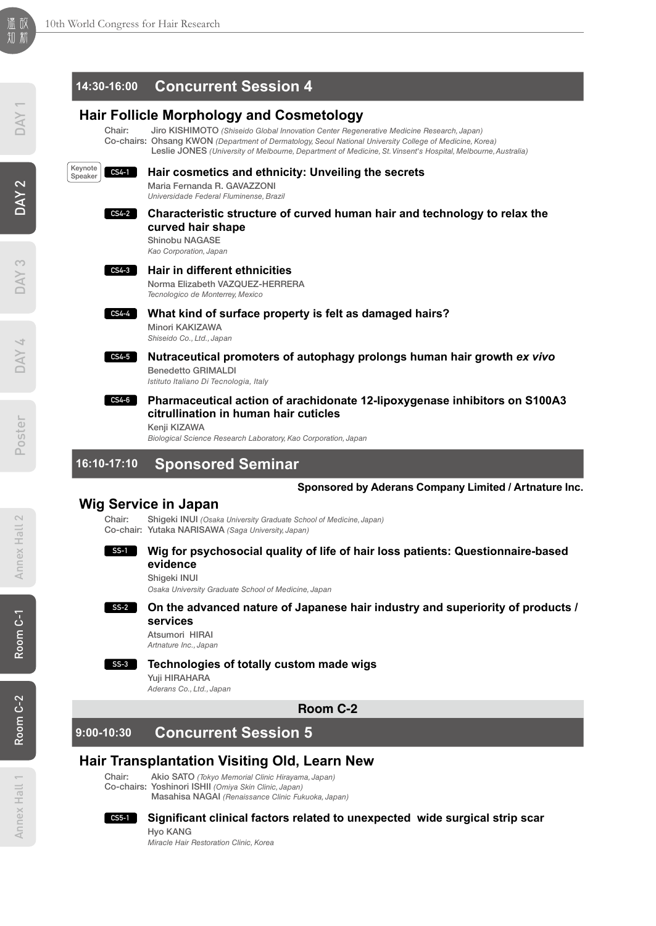# $\overline{\mathsf{N}}$

# Poster DAY 4 DAY 3 DAY 2 DAY 1

# **14:30-16:00 Concurrent Session 4**

# **Hair Follicle Morphology and Cosmetology**

Chair: Jiro KISHIMOTO *(Shiseido Global Innovation Center Regenerative Medicine Research, Japan)* Co-chairs: Ohsang KWON *(Department of Dermatology, Seoul National University College of Medicine, Korea)* Leslie JONES *(University of Melbourne, Department of Medicine, St. Vinsent's Hospital, Melbourne, Australia)*



# **Hair cosmetics and ethnicity: Unveiling the secrets**

Maria Fernanda R. GAVAZZONI *Universidade Federal Fluminense, Brazil*

### **Characteristic structure of curved human hair and technology to relax the curved hair shape CS4-2**

Shinobu NAGASE *Kao Corporation, Japan*

# **CS4-3**

**CS4-4**

**CS4-5**

**Hair in different ethnicities**  Norma Elizabeth VAZQUEZ-HERRERA *Tecnologico de Monterrey, Mexico*

**What kind of surface property is felt as damaged hairs?** 

Minori KAKIZAWA *Shiseido Co., Ltd., Japan*

**Nutraceutical promoters of autophagy prolongs human hair growth** *ex vivo*

Benedetto GRIMALDI *Istituto Italiano Di Tecnologia, Italy*

### **Pharmaceutical action of arachidonate 12-lipoxygenase inhibitors on S100A3 citrullination in human hair cuticles CS4-6**

Kenji KIZAWA

*Biological Science Research Laboratory, Kao Corporation, Japan*

# **16:10-17:10 Sponsored Seminar**

# **Sponsored by Aderans Company Limited / Artnature Inc.**

# **Wig Service in Japan**

Chair: Shigeki INUI *(Osaka University Graduate School of Medicine, Japan)* Co-chair: Yutaka NARISAWA *(Saga University, Japan)*

# **evidence**

Shigeki INUI

*Osaka University Graduate School of Medicine, Japan*

**Technologies of totally custom made wigs** 

### **On the advanced nature of Japanese hair industry and superiority of products / services SS-2**

**Wig for psychosocial quality of life of hair loss patients: Questionnaire-based** 

Atsumori HIRAI *Artnature Inc., Japan*

# **SS-3**

**SS-1**

Yuji HIRAHARA

*Aderans Co., Ltd., Japan*

**Room C-2**

# **9:00-10:30 Concurrent Session 5**

# **Hair Transplantation Visiting Old, Learn New**

Chair: Akio SATO *(Tokyo Memorial Clinic Hirayama, Japan)* Co-chairs: Yoshinori ISHII *(Omiya Skin Clinic, Japan)*

Masahisa NAGAI *(Renaissance Clinic Fukuoka, Japan)*

# **CS5-1**

**Significant clinical factors related to unexpected wide surgical strip scar** Hyo KANG

*Miracle Hair Restoration Clinic, Korea*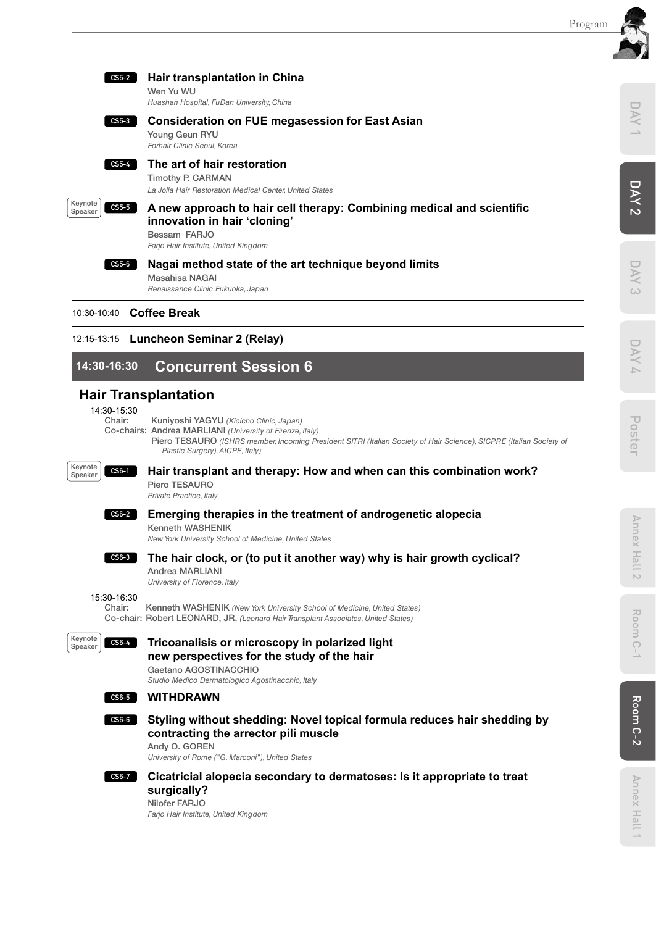

| CS5-2 | Hair transplantation in China<br>Wen Yu WU<br>Huashan Hospital, FuDan University, China                                                                       |
|-------|---------------------------------------------------------------------------------------------------------------------------------------------------------------|
| CS5-3 | <b>Consideration on FUE megasession for East Asian</b><br>Young Geun RYU<br>Forhair Clinic Seoul, Korea                                                       |
| CS5-4 | The art of hair restoration<br>Timothy P. CARMAN<br>La Jolla Hair Restoration Medical Center, United States                                                   |
| CS5-5 | A new approach to hair cell therapy: Combining medical and scientific<br>innovation in hair 'cloning'<br>Bessam FARJO<br>Farjo Hair Institute, United Kingdom |
| CS5-6 | Nagai method state of the art technique beyond limits<br>Masahisa NAGAI<br>Renaissance Clinic Fukuoka, Japan                                                  |

10:30-10:40 **Coffee Break**

# 12:15-13:15 **Luncheon Seminar 2 (Relay)**

# **14:30-16:30 Concurrent Session 6**

# **Hair Transplantation**

14:30-15:30<br>Chair:

Kuniyoshi YAGYU (Kioicho Clinic, Japan)

Co-chairs: Andrea MARLIANI *(University of Firenze, Italy)*

Piero TESAURO (ISHRS member, Incoming President SITRI (Italian Society of Hair Science), SICPRE (Italian Society of *Plastic Surgery), AICPE, Italy)*



Keynote Speaker

# **Hair transplant and therapy: How and when can this combination work?**

Piero TESAURO *Private Practice, Italy*



# **Emerging therapies in the treatment of androgenetic alopecia**

Kenneth WASHENIK *New York University School of Medicine, United States*



# **The hair clock, or (to put it another way) why is hair growth cyclical?**

Andrea MARLIANI *University of Florence, Italy*

15:30-16:30<br>Chair:

Kenneth WASHENIK *(New York University School of Medicine, United States)* Co-chair: Robert LEONARD, JR. *(Leonard Hair Transplant Associates, United States)*



# **Tricoanalisis or microscopy in polarized light new perspectives for the study of the hair**

Gaetano AGOSTINACCHIO *Studio Medico Dermatologico Agostinacchio, Italy*

### **WITHDRAWN CS6-5**



# **Styling without shedding: Novel topical formula reduces hair shedding by contracting the arrector pili muscle**

Andy O. GOREN *University of Rome ("G. Marconi"), United States*

### **Cicatricial alopecia secondary to dermatoses: Is it appropriate to treat CS6-7**

# **surgically?**

Nilofer FARJO *Farjo Hair Institute, United Kingdom*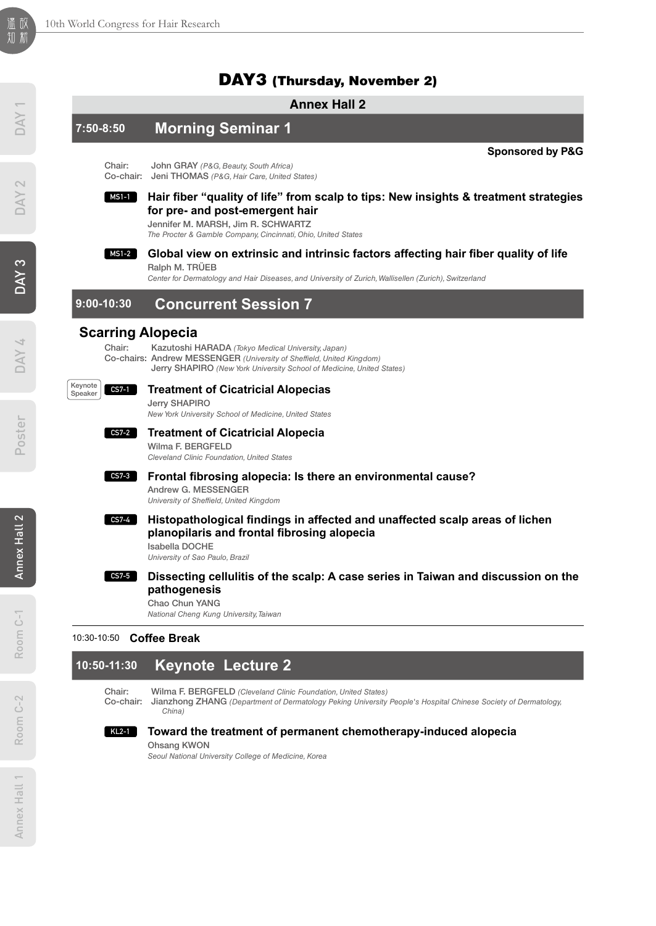# DAY3 (Thursday, November 2)

# **Annex Hall 2 7:50-8:50 Morning Seminar 1 Sponsored by P&G** Chair: John GRAY *(P&G, Beauty, South Africa)* Co-chair: Jeni THOMAS *(P&G, Hair Care, United States)* **Hair fiber "quality of life" from scalp to tips: New insights & treatment strategies for pre- and post-emergent hair**  Jennifer M. MARSH, Jim R. SCHWARTZ *The Procter & Gamble Company, Cincinnati, Ohio, United States* **Global view on extrinsic and intrinsic factors affecting hair fiber quality of life** Ralph M. TRÜEB *Center for Dermatology and Hair Diseases, and University of Zurich, Wallisellen (Zurich), Switzerland* **9:00-10:30 Concurrent Session 7 Scarring Alopecia** Chair: Kazutoshi HARADA *(Tokyo Medical University, Japan)* Co-chairs: Andrew MESSENGER *(University of Sheffield, United Kingdom)* Jerry SHAPIRO *(New York University School of Medicine, United States)* **Treatment of Cicatricial Alopecias**  Jerry SHAPIRO *New York University School of Medicine, United States*  **Treatment of Cicatricial Alopecia**  Wilma F. BERGFELD *Cleveland Clinic Foundation, United States* **Frontal fibrosing alopecia: Is there an environmental cause?** Andrew G. MESSENGER *University of Sheffield, United Kingdom* **Histopathological findings in affected and unaffected scalp areas of lichen planopilaris and frontal fibrosing alopecia** Isabella DOCHE *University of Sao Paulo, Brazil*  **Dissecting cellulitis of the scalp: A case series in Taiwan and discussion on the pathogenesis**  Chao Chun YANG **MS1-1 MS1-2 CS7-1** Keynote Speaker **CS7-2 CS7-3 CS7-4 CS7-5**

*National Cheng Kung University, Taiwan*

# 10:30-10:50 **Coffee Break**

# **10:50-11:30 Keynote Lecture 2**

Chair: Wilma F. BERGFELD *(Cleveland Clinic Foundation, United States)*

Co-chair: Jianzhong ZHANG *(Department of Dermatology Peking University People's Hospital Chinese Society of Dermatology, China)*

### **Toward the treatment of permanent chemotherapy-induced alopecia KL2-1**

Ohsang KWON

*Seoul National University College of Medicine, Korea*

Room C-2

 $C - 2$ Room (

Annex Hall 1

Annex Hall 1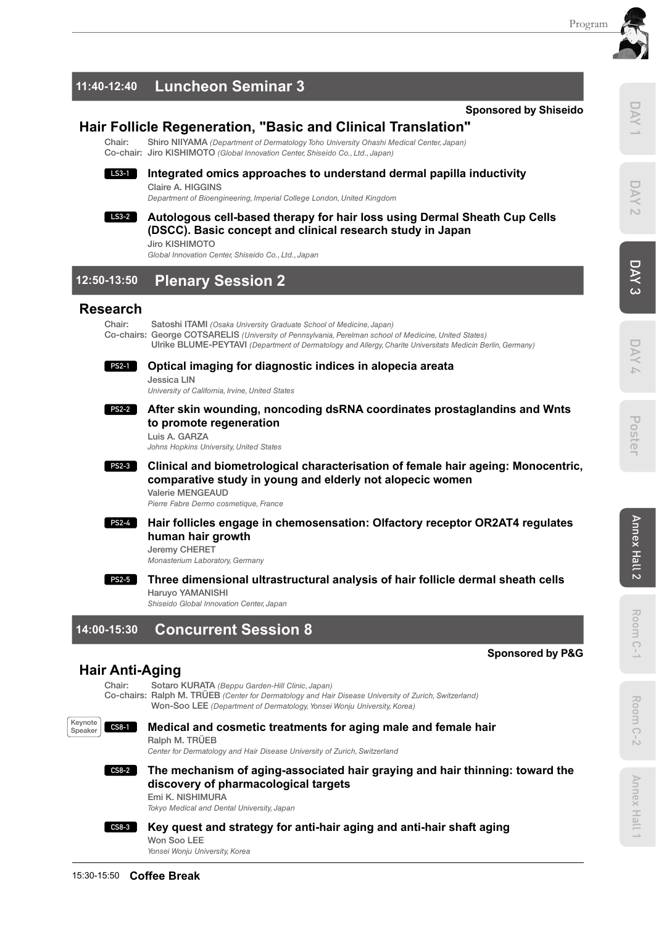# **11:40-12:40 Luncheon Seminar 3**

# **Hair Follicle Regeneration, "Basic and Clinical Translation"**

Shiro NIIYAMA *(Department of Dermatology Toho University Ohashi Medical Center, Japan)* Co-chair: Jiro KISHIMOTO *(Global Innovation Center, Shiseido Co., Ltd., Japan)*

### **Integrated omics approaches to understand dermal papilla inductivity** Claire A. HIGGINS **LS3-1**

*Department of Bioengineering, Imperial College London, United Kingdom*

### **Autologous cell-based therapy for hair loss using Dermal Sheath Cup Cells (DSCC). Basic concept and clinical research study in Japan** Jiro KISHIMOTO **LS3-2**

*Global Innovation Center, Shiseido Co., Ltd., Japan*

# **12:50-13:50 Plenary Session 2**

# **Research**

Chair: Satoshi ITAMI *(Osaka University Graduate School of Medicine, Japan)* Co-chairs: George COTSARELIS *(University of Pennsylvania, Perelman school of Medicine, United States)* Ulrike BLUME-PEYTAVI *(Department of Dermatology and Allergy, Charite Universitats Medicin Berlin, Germany)*

### **Optical imaging for diagnostic indices in alopecia areata PS2-1**

Jessica LIN

*University of California, Irvine, United States*

### **After skin wounding, noncoding dsRNA coordinates prostaglandins and Wnts to promote regeneration PS2-2**

Luis A. GARZA

*Johns Hopkins University, United States*

### **Clinical and biometrological characterisation of female hair ageing: Monocentric, comparative study in young and elderly not alopecic women PS2-3**

*Pierre Fabre Dermo cosmetique, France*

### **Hair follicles engage in chemosensation: Olfactory receptor OR2AT4 regulates human hair growth PS2-4**

### **Three dimensional ultrastructural analysis of hair follicle dermal sheath cells PS2-5**

# **14:00-15:30 Concurrent Session 8**

# **Hair Anti-Aging**

Co-chairs: Ralph M. TRÜEB *(Center for Dermatology and Hair Disease University of Zurich, Switzerland)*



# **Medical and cosmetic treatments for aging male and female hair**

*Center for Dermatology and Hair Disease University of Zurich, Switzerland*

# **CS8-2**

# **The mechanism of aging-associated hair graying and hair thinning: toward the discovery of pharmacological targets**



# **Key quest and strategy for anti-hair aging and anti-hair shaft aging**

*Yonsei Wonju University, Korea*

# **Sponsored by Shiseido**





 $\bar{\triangleright}$ 

Room C-1

Room C-

**Sponsored by P&G**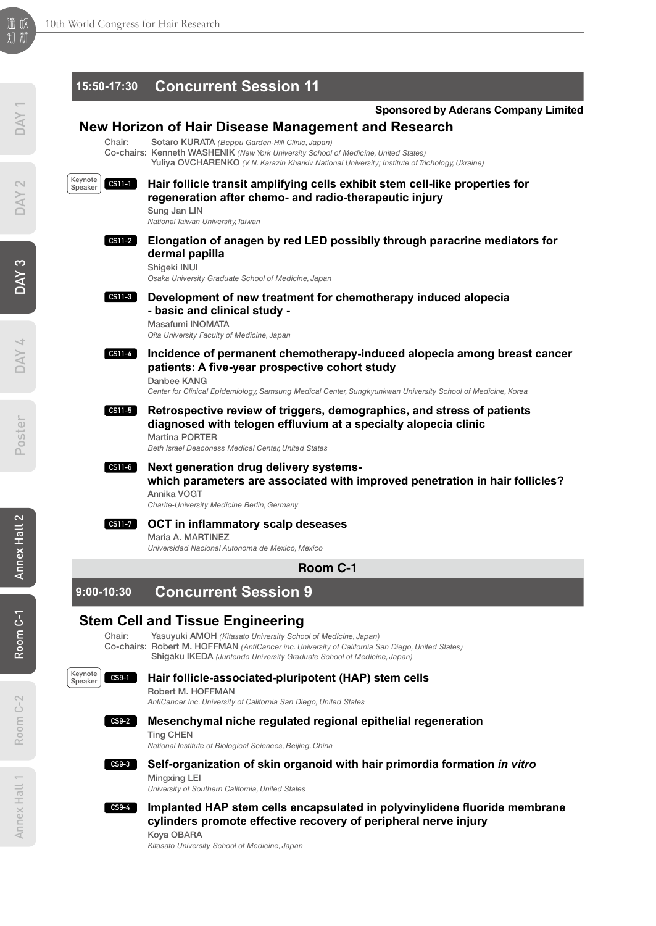DAY<sub>1</sub>

DAY 2

DAY 3

|                                | 15:50-17:30 Concurrent Session 11                                                                                                                                                                                                           |
|--------------------------------|---------------------------------------------------------------------------------------------------------------------------------------------------------------------------------------------------------------------------------------------|
|                                | <b>Sponsored by Aderans Company Limited</b>                                                                                                                                                                                                 |
|                                | New Horizon of Hair Disease Management and Research                                                                                                                                                                                         |
| Chair:                         | Sotaro KURATA (Beppu Garden-Hill Clinic, Japan)<br>Co-chairs: Kenneth WASHENIK (New York University School of Medicine, United States)<br>Yuliya OVCHARENKO (V. N. Karazin Kharkiv National University; Institute of Trichology, Ukraine)   |
| Keynote<br>$CS11-1$<br>Speaker | Hair follicle transit amplifying cells exhibit stem cell-like properties for<br>regeneration after chemo- and radio-therapeutic injury<br>Sung Jan LIN<br>National Taiwan University, Taiwan                                                |
| CS11-2                         | Elongation of anagen by red LED possiblly through paracrine mediators for<br>dermal papilla<br>Shigeki INUI<br>Osaka University Graduate School of Medicine, Japan                                                                          |
| $CS11-3$                       | Development of new treatment for chemotherapy induced alopecia<br>- basic and clinical study -<br>Masafumi INOMATA<br>Oita University Faculty of Medicine, Japan                                                                            |
| $CS11-4$                       | Incidence of permanent chemotherapy-induced alopecia among breast cancer<br>patients: A five-year prospective cohort study<br>Danbee KANG                                                                                                   |
|                                | Center for Clinical Epidemiology, Samsung Medical Center, Sungkyunkwan University School of Medicine, Korea                                                                                                                                 |
| CS11-5                         | Retrospective review of triggers, demographics, and stress of patients<br>diagnosed with telogen effluvium at a specialty alopecia clinic<br><b>Martina PORTER</b><br>Beth Israel Deaconess Medical Center, United States                   |
| $CS11-6$                       | Next generation drug delivery systems-<br>which parameters are associated with improved penetration in hair follicles?<br>Annika VOGT<br>Charite-University Medicine Berlin, Germany                                                        |
| <b>CS11-7</b>                  | OCT in inflammatory scalp deseases<br>Maria A. MARTINEZ<br>Universidad Nacional Autonoma de Mexico, Mexico                                                                                                                                  |
|                                | Room C-1                                                                                                                                                                                                                                    |
| $9:00 - 10:30$                 | <b>Concurrent Session 9</b>                                                                                                                                                                                                                 |
|                                | <b>Stem Cell and Tissue Engineering</b>                                                                                                                                                                                                     |
| Chair:                         | Yasuyuki AMOH (Kitasato University School of Medicine, Japan)<br>Co-chairs: Robert M. HOFFMAN (AntiCancer inc. University of California San Diego, United States)<br>Shigaku IKEDA (Juntendo University Graduate School of Medicine, Japan) |
| Keynote<br>$CS9-1$<br>Speaker  | Hair follicle-associated-pluripotent (HAP) stem cells<br>Robert M. HOFFMAN<br>AntiCancer Inc. University of California San Diego, United States                                                                                             |
| $CS9-2$                        | Mesenchymal niche regulated regional epithelial regeneration<br><b>Ting CHEN</b><br>National Institute of Biological Sciences, Beijing, China                                                                                               |
| $CS9-3$                        | Self-organization of skin organoid with hair primordia formation in vitro<br>Minaxina LEI<br>University of Southern California, United States                                                                                               |
| <b>CS9-4</b>                   | Implanted HAP stem cells encapsulated in polyvinylidene fluoride membrane<br>cylinders promote effective recovery of peripheral nerve injury<br>Koya OBARA<br>Kitasato University School of Medicine, Japan                                 |
|                                |                                                                                                                                                                                                                                             |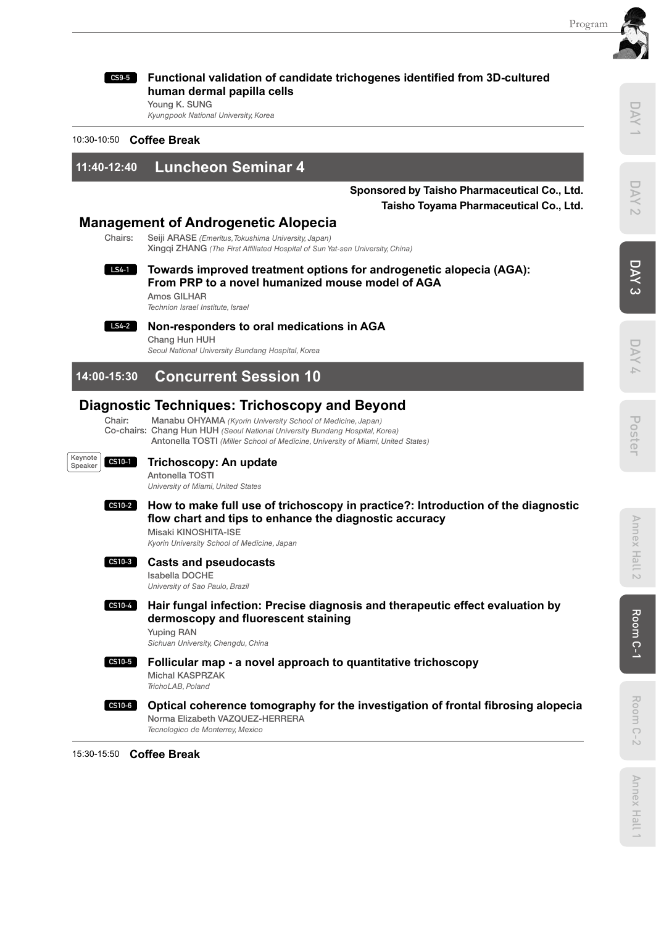DAY

DAY



**Functional validation of candidate trichogenes identified from 3D-cultured human dermal papilla cells** 

Young K. SUNG *Kyungpook National University, Korea*

10:30-10:50 **Coffee Break**

**11:40-12:40 Luncheon Seminar 4** 

**Sponsored by Taisho Pharmaceutical Co., Ltd. Taisho Toyama Pharmaceutical Co., Ltd.**

# **Management of Androgenetic Alopecia**<br>Chairs: Selil ARASE (*Emeritus Tokushima University Japan*)

Seiji ARASE *(Emeritus, Tokushima University, Japan)* Xingqi ZHANG *(The First Affiliated Hospital of Sun Yat-sen University, China)*

**Towards improved treatment options for androgenetic alopecia (AGA): From PRP to a novel humanized mouse model of AGA LS4-1**

Amos GILHAR *Technion Israel Institute, Israel*



**Non-responders to oral medications in AGA**

Chang Hun HUH *Seoul National University Bundang Hospital, Korea*

# **14:00-15:30 Concurrent Session 10**

# **Diagnostic Techniques: Trichoscopy and Beyond**

Chair: Manabu OHYAMA *(Kyorin University School of Medicine, Japan)* Co-chairs: Chang Hun HUH *(Seoul National University Bundang Hospital, Korea)* Antonella TOSTI *(Miller School of Medicine, University of Miami, United States)*



# **Trichoscopy: An update**

Antonella TOSTI *University of Miami, United States*

### **How to make full use of trichoscopy in practice?: Introduction of the diagnostic flow chart and tips to enhance the diagnostic accuracy** Misaki KINOSHITA-ISE **CS10-2**

*Kyorin University School of Medicine, Japan*

### **Casts and pseudocasts CS10-3**

### Isabella DOCHE

*University of Sao Paulo, Brazil*

**Hair fungal infection: Precise diagnosis and therapeutic effect evaluation by dermoscopy and fluorescent staining** Yuping RAN **CS10-4**

*Sichuan University, Chengdu, China*

**CS10-5**

**Follicular map - a novel approach to quantitative trichoscopy**  Michal KASPRZAK

*TrichoLAB, Poland*



15:30-15:50 **Coffee Break**

DAY 1 DAY 2 DAY 3 DAY 4 Poster

DAY

Poster

DAY<sub>3</sub>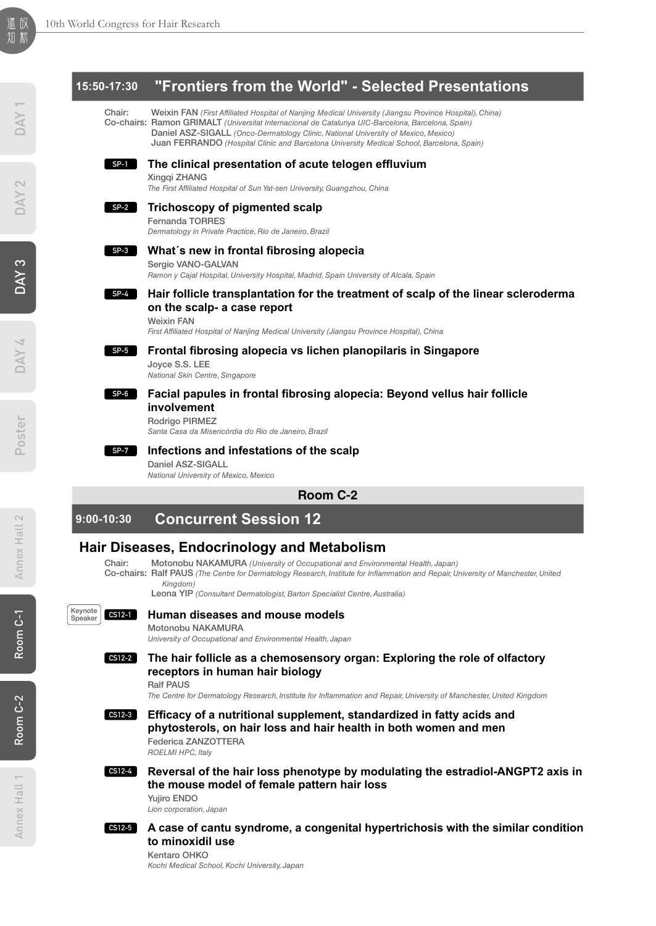# Poster DAY 4 DAY 3 DAY 2 DAY 1

# **15:50-17:30 "Frontiers from the World" - Selected Presentations**

Chair: Weixin FAN *(First Affiliated Hospital of Nanjing Medical University (Jiangsu Province Hospital), China)* Co-chairs: Ramon GRIMALT *(Universitat Internacional de Catalunya UIC-Barcelona, Barcelona, Spain)* Daniel ASZ-SIGALL *(Onco-Dermatology Clinic, National University of Mexico, Mexico)* Juan FERRANDO *(Hospital Clínic and Barcelona University Medical School, Barcelona, Spain)*

### **The clinical presentation of acute telogen effluvium SP-1**

Xingqi ZHANG

*The First Affiliated Hospital of Sun Yat-sen University, Guangzhou, China*

### **Trichoscopy of pigmented scalp SP-2**

Fernanda TORRES

*Dermatology in Private Practice, Rio de Janeiro, Brazil*

### **What´s new in frontal fibrosing alopecia SP-3**

Sergio VANO-GALVAN

*Ramon y Cajal Hospital, University Hospital, Madrid, Spain University of Alcala, Spain*

### **Hair follicle transplantation for the treatment of scalp of the linear scleroderma on the scalp- a case report SP-4**

Weixin FAN

*First Affiliated Hospital of Nanjing Medical University (Jiangsu Province Hospital), China*

### **Frontal fibrosing alopecia vs lichen planopilaris in Singapore SP-5**

Joyce S.S. LEE *National Skin Centre, Singapore*

### **Facial papules in frontal fibrosing alopecia: Beyond vellus hair follicle involvement SP-6**

Rodrigo PIRMEZ

*Santa Casa da Misericórdia do Rio de Janeiro, Brazil*

### **Infections and infestations of the scalp SP-7**

Daniel ASZ-SIGALL *National University of Mexico, Mexico*

# **Room C-2**

**9:00-10:30 Concurrent Session 12**

# **Hair Diseases, Endocrinology and Metabolism**<br>Chair: Motonoby NAKAMURA (University of Occupational and Environn

- Motonobu NAKAMURA *(University of Occupational and Environmental Health, Japan)*
- Co-chairs: Ralf PAUS *(The Centre for Dermatology Research, Institute for Inflammation and Repair, University of Manchester, United Kingdom)*

Leona YIP *(Consultant Dermatologist, Barton Specialist Centre, Australia)*



# **Human diseases and mouse models**

Motonobu NAKAMURA

*University of Occupational and Environmental Health, Japan*

### **The hair follicle as a chemosensory organ: Exploring the role of olfactory receptors in human hair biology CS12-2**

Ralf PAUS

*The Centre for Dermatology Research, Institute for Inflammation and Repair, University of Manchester, United Kingdom*

### **Efficacy of a nutritional supplement, standardized in fatty acids and phytosterols, on hair loss and hair health in both women and men**  Federica ZANZOTTERA **CS12-3**

*ROELMI HPC, Italy*

# **CS12-4**

 **Reversal of the hair loss phenotype by modulating the estradiol-ANGPT2 axis in the mouse model of female pattern hair loss** 

Yujiro ENDO *Lion corporation, Japan*

### **A case of cantu syndrome, a congenital hypertrichosis with the similar condition to minoxidil use CS12-5**

Kentaro OHKO *Kochi Medical School, Kochi University, Japan*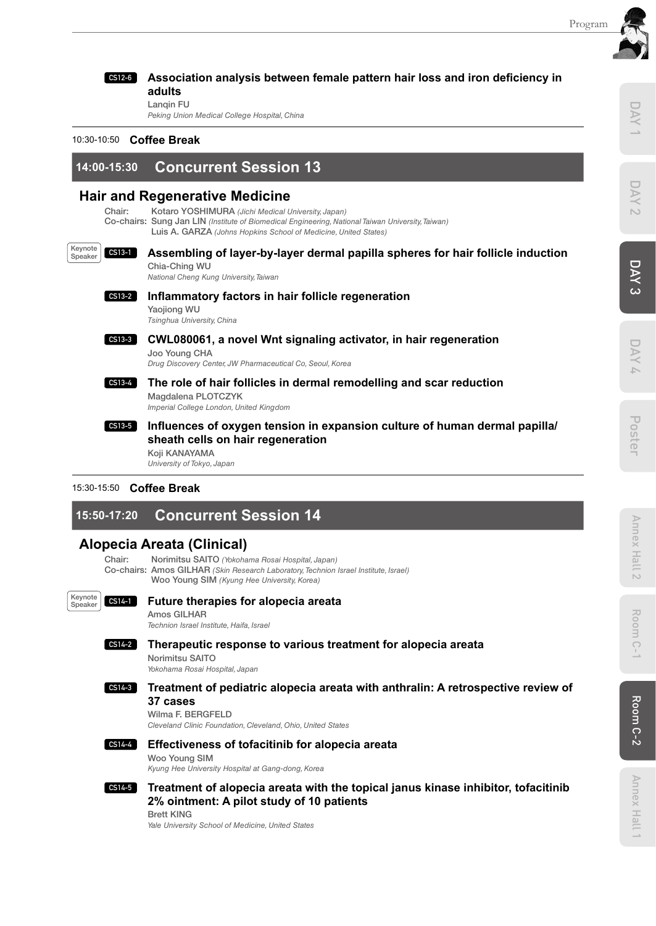

**adults** 

Lanqin FU *Peking Union Medical College Hospital, China*

# 10:30-10:50 **Coffee Break**

# **14:00-15:30 Concurrent Session 13**

# **Hair and Regenerative Medicine**

Chair: Kotaro YOSHIMURA *(Jichi Medical University, Japan)* Co-chairs: Sung Jan LIN *(Institute of Biomedical Engineering, National Taiwan University, Taiwan)* Luis A. GARZA *(Johns Hopkins School of Medicine, United States)*

### **Assembling of layer-by-layer dermal papilla spheres for hair follicle induction**  Chia-Ching WU Keynote **CS13-1**

**Association analysis between female pattern hair loss and iron deficiency in**

*National Cheng Kung University, Taiwan*



**Inflammatory factors in hair follicle regeneration** Yaojiong WU *Tsinghua University, China*

### **CWL080061, a novel Wnt signaling activator, in hair regeneration**  Joo Young CHA **CS13-3**

*Drug Discovery Center, JW Pharmaceutical Co, Seoul, Korea*

**The role of hair follicles in dermal remodelling and scar reduction**  Magdalena PLOTCZYK *Imperial College London, United Kingdom* **CS13-4**

### **Influences of oxygen tension in expansion culture of human dermal papilla/ sheath cells on hair regeneration**  Koji KANAYAMA **CS13-5**

*University of Tokyo, Japan*

# 15:30-15:50 **Coffee Break**

# **15:50-17:20 Concurrent Session 14**

# **Alopecia Areata (Clinical)**

Chair: Norimitsu SAITO *(Yokohama Rosai Hospital, Japan)* Co-chairs: Amos GILHAR *(Skin Research Laboratory,Technion Israel Institute, Israel)* Woo Young SIM *(Kyung Hee University, Korea)*



# **Future therapies for alopecia areata**

Amos GILHAR *Technion Israel Institute, Haifa, Israel*

### **Therapeutic response to various treatment for alopecia areata CS14-2**

Norimitsu SAITO *Yokohama Rosai Hospital, Japan*

# **Treatment of pediatric alopecia areata with anthralin: A retrospective review of CS14-3 37 cases**

Wilma F. BERGFELD *Cleveland Clinic Foundation, Cleveland, Ohio, United States*



**Effectiveness of tofacitinib for alopecia areata CS14-4**

Woo Young SIM *Kyung Hee University Hospital at Gang-dong, Korea*

**Treatment of alopecia areata with the topical janus kinase inhibitor, tofacitinib CS14-5 2% ointment: A pilot study of 10 patients**  Brett KING

*Yale University School of Medicine, United States*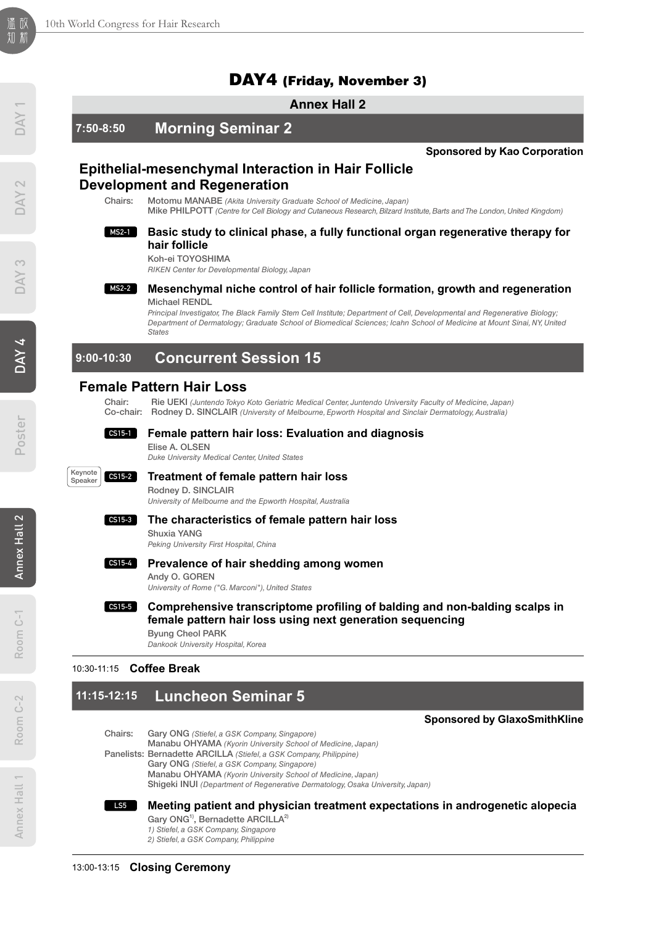# DAY4 (Friday, November 3)

# **Annex Hall 2**



# **11:15-12:15 Luncheon Seminar 5**

# **Sponsored by GlaxoSmithKline**

- Chairs: Gary ONG *(Stiefel, a GSK Company, Singapore)* Manabu OHYAMA *(Kyorin University School of Medicine, Japan)* Panelists: Bernadette ARCILLA *(Stiefel, a GSK Company, Philippine)* Gary ONG *(Stiefel, a GSK Company, Singapore)* Manabu OHYAMA *(Kyorin University School of Medicine, Japan)*
	- Shigeki INUI *(Department of Regenerative Dermatology, Osaka University, Japan)*
	- **Meeting patient and physician treatment expectations in androgenetic alopecia** Gary ONG<sup>1)</sup>, Bernadette ARCILLA<sup>2)</sup> **LS5**
		- *1) Stiefel, a GSK Company, Singapore 2) Stiefel, a GSK Company, Philippine*

# Poster DAY4 DAY3 DAY2 DAY1

Room C-2

 $C - 2$ Room (

Annex Hall 1

Annex Hall 1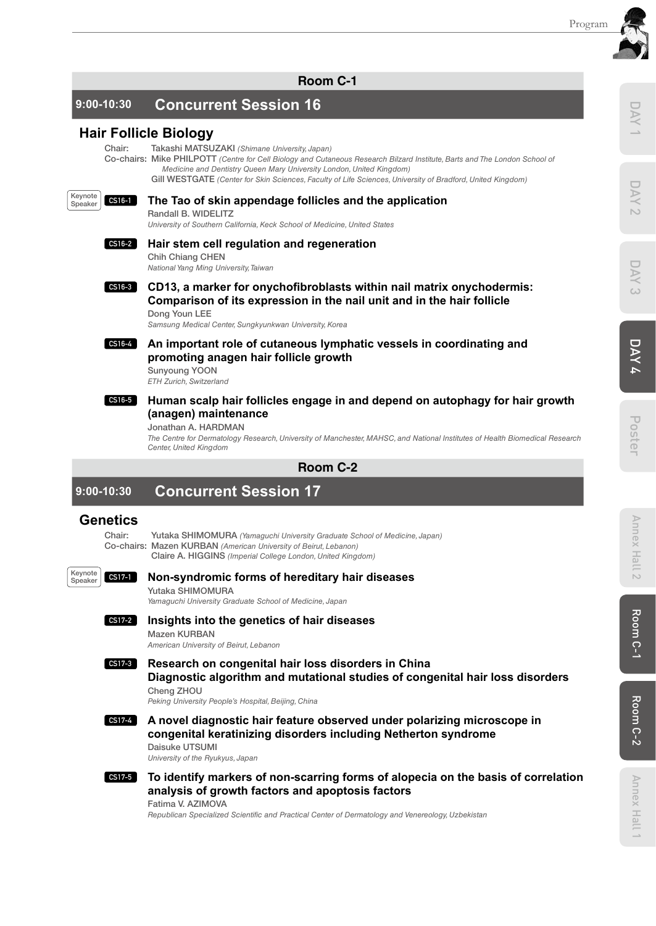**Room C-1**

# **9:00-10:30 Concurrent Session 16**

# **Hair Follicle Biology**

Chair: Takashi MATSUZAKI *(Shimane University, Japan)*

Co-chairs: Mike PHILPOTT *(Centre for Cell Biology and Cutaneous Research Bilzard Institute, Barts and The London School of Medicine and Dentistry Queen Mary University London, United Kingdom)*

Gill WESTGATE *(Center for Skin Sciences, Faculty of Life Sciences, University of Bradford, United Kingdom)*

### **CS16-1** Keynote **Speaker**

# **The Tao of skin appendage follicles and the application**

Randall B. WIDELITZ

*University of Southern California, Keck School of Medicine, United States*

### **Hair stem cell regulation and regeneration CS16-2**

Chih Chiang CHEN *National Yang Ming University, Taiwan*

**CD13, a marker for onychofibroblasts within nail matrix onychodermis: Comparison of its expression in the nail unit and in the hair follicle**  Dong Youn LEE **CS16-3**

*Samsung Medical Center, Sungkyunkwan University, Korea*

**CS16-4**

# **An important role of cutaneous lymphatic vessels in coordinating and promoting anagen hair follicle growth**

Sunyoung YOON *ETH Zurich, Switzerland*

### **Human scalp hair follicles engage in and depend on autophagy for hair growth (anagen) maintenance CS16-5**

Jonathan A. HARDMAN

*The Centre for Dermatology Research, University of Manchester, MAHSC, and National Institutes of Health Biomedical Research Center, United Kingdom*

**Room C-2**

```
9:00-10:30 Concurrent Session 17
```
# **Genetics**

Yutaka SHIMOMURA *(Yamaguchi University Graduate School of Medicine, Japan)* Co-chairs: Mazen KURBAN *(American University of Beirut, Lebanon)* Claire A. HIGGINS *(Imperial College London, United Kingdom)*

**CS17-1** Keynote Speaker

# **Non-syndromic forms of hereditary hair diseases**

Yutaka SHIMOMURA

*Yamaguchi University Graduate School of Medicine, Japan*



# **Insights into the genetics of hair diseases**

Mazen KURBAN *American University of Beirut, Lebanon*

**Research on congenital hair loss disorders in China Diagnostic algorithm and mutational studies of congenital hair loss disorders** Cheng ZHOU **CS17-3**

*Peking University People's Hospital, Beijing, China*

**A novel diagnostic hair feature observed under polarizing microscope in congenital keratinizing disorders including Netherton syndrome** Daisuke UTSUMI **CS17-4**

*University of the Ryukyus, Japan*

**To identify markers of non-scarring forms of alopecia on the basis of correlation analysis of growth factors and apoptosis factors** Fatima V. AZIMOVA **CS17-5**

*Republican Specialized Scientific and Practical Center of Dermatology and Venereology, Uzbekistan*

Annex Hall 1

Annex Hall 1